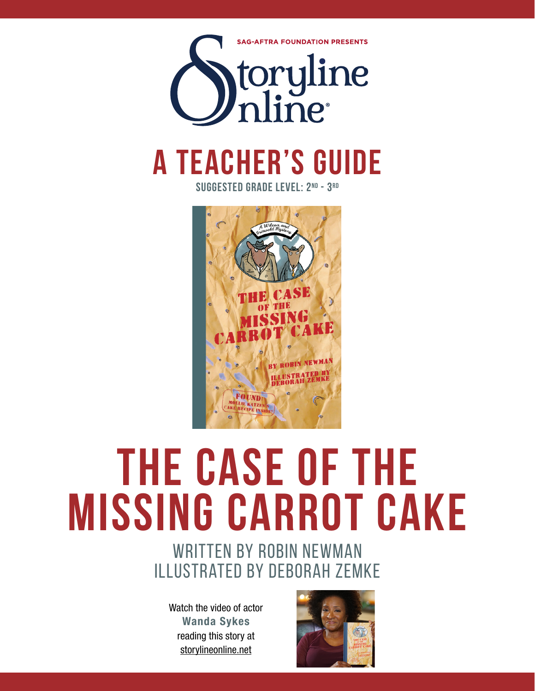

## **a teacher's guide**

**suggested grade level: 2nd - 3rd**



# **the case of the missing carrot cake**

### written by robin newman illustrated by deborah zemke

Watch the video of actor Wanda Sykes reading this story at storylineonline.net

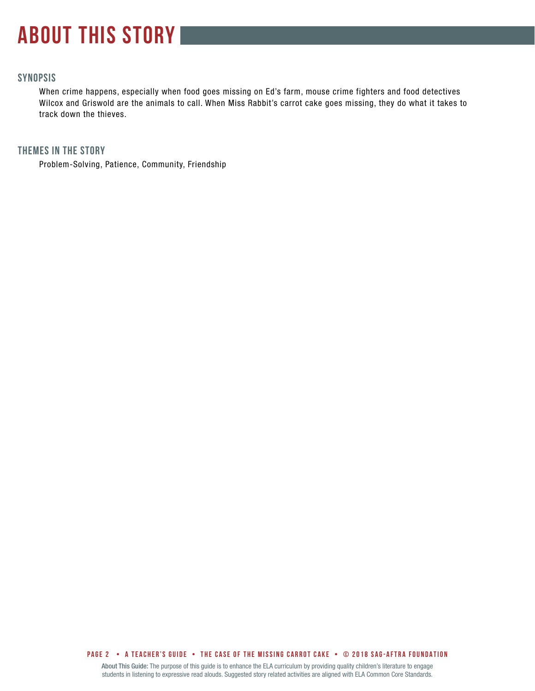### **about this story**

#### **SYNOPSIS**

When crime happens, especially when food goes missing on Ed's farm, mouse crime fighters and food detectives Wilcox and Griswold are the animals to call. When Miss Rabbit's carrot cake goes missing, they do what it takes to track down the thieves.

#### **THEMES IN THE STORY**

Problem-Solving, Patience, Community, Friendship

**PAGE 2 • A teacher's GUIDE • The case of the missing carrot cake • © 2018 SAG-AFTRA FOUNDATION**

About This Guide: The purpose of this guide is to enhance the ELA curriculum by providing quality children's literature to engage students in listening to expressive read alouds. Suggested story related activities are aligned with ELA Common Core Standards.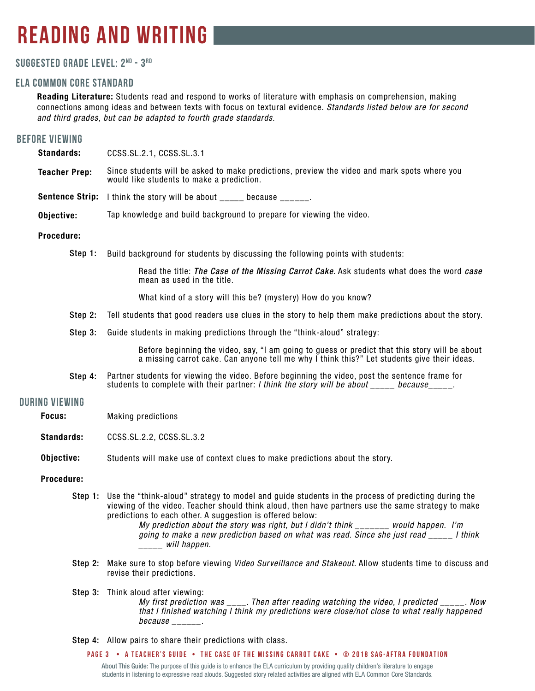### **reading and writing**

#### **Suggested grade level: 2nd - 3 rd**

#### **ela common core standard**

Reading Literature: Students read and respond to works of literature with emphasis on comprehension, making connections among ideas and between texts with focus on textural evidence. *Standards listed below are for second and third grades, but can be adapted to fourth grade standards.*

#### **before viewing**

Standards: Teacher Prep: CCSS.SL.2.1, CCSS.SL.3.1 Since students will be asked to make predictions, preview the video and mark spots where you would like students to make a prediction.

**Sentence Strip:** I think the story will be about \_\_\_\_\_ because \_\_\_\_\_\_.

Objective: Tap knowledge and build background to prepare for viewing the video.

#### Procedure:

Step 1: Build background for students by discussing the following points with students:

Read the title: *The Case of the Missing Carrot Cake*. Ask students what does the word *case* mean as used in the title.

What kind of a story will this be? (mystery) How do you know?

- Step 2: Tell students that good readers use clues in the story to help them make predictions about the story.
- Step 3: Guide students in making predictions through the "think-aloud" strategy:

Before beginning the video, say, "I am going to guess or predict that this story will be about a missing carrot cake. Can anyone tell me why I think this?" Let students give their ideas.

Step 4: Partner students for viewing the video. Before beginning the video, post the sentence frame for students to complete with their partner: *I think the story will be about \_\_\_\_\_ because*\_\_\_\_\_.

#### **during viewing**

- Focus: Making predictions
- Standards: CCSS.SL.2.2, CCSS.SL.3.2
- Objective: Students will make use of context clues to make predictions about the story.

#### Procedure:

Step 1: Use the "think-aloud" strategy to model and guide students in the process of predicting during the viewing of the video. Teacher should think aloud, then have partners use the same strategy to make predictions to each other. A suggestion is offered below:

*My prediction about the story was right, but I didn't think \_\_\_\_\_\_\_ would happen. I'm going to make a new prediction based on what was read. Since she just read \_\_\_\_\_ I think \_\_\_\_\_ will happen.* 

- Step 2: Make sure to stop before viewing *Video Surveillance and Stakeout*. Allow students time to discuss and revise their predictions.
- Step 3: Think aloud after viewing: *My first prediction was \_\_\_\_. Then after reading watching the video, I predicted \_\_\_\_\_. Now that I finished watching I think my predictions were close/not close to what really happened because \_\_\_\_\_\_.*
- Step 4: Allow pairs to share their predictions with class.

**PAGE 3 • A teacher's GUIDE • The case of the missing carrot cake • © 2018 SAG-AFTRA FOUNDATION**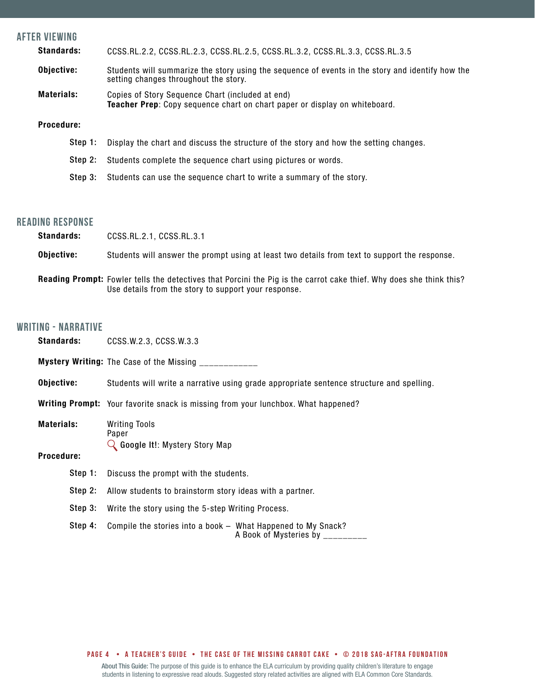| <b>AFTER VIEWING</b>                                                                              |                                                                                                                                           |
|---------------------------------------------------------------------------------------------------|-------------------------------------------------------------------------------------------------------------------------------------------|
| <b>Standards:</b><br>CCSS.RL.2.2, CCSS.RL.2.3, CCSS.RL.2.5, CCSS.RL.3.2, CCSS.RL.3.3, CCSS.RL.3.5 |                                                                                                                                           |
| Objective:                                                                                        | Students will summarize the story using the sequence of events in the story and identify how the<br>setting changes throughout the story. |
| <b>Materials:</b>                                                                                 | Copies of Story Sequence Chart (included at end)<br>Teacher Prep: Copy sequence chart on chart paper or display on whiteboard.            |
| Procedure:                                                                                        |                                                                                                                                           |
| Step 1:                                                                                           | Display the chart and discuss the structure of the story and how the setting changes.                                                     |
| Step 2:                                                                                           | Students complete the sequence chart using pictures or words.                                                                             |
| Step 3:                                                                                           | Students can use the sequence chart to write a summary of the story.                                                                      |

#### **reading response**

| <b>Standards:</b> | CCSS.RL.2.1, CCSS.RL.3.1                                                                      |
|-------------------|-----------------------------------------------------------------------------------------------|
| Obiective:        | Students will answer the prompt using at least two details from text to support the response. |

Reading Prompt: Fowler tells the detectives that Porcini the Pig is the carrot cake thief. Why does she think this? Use details from the story to support your response.

#### **writing - NARRATIVE**

| Standards:        | CCSS.W.2.3, CCSS.W.3.3                                                                          |  |
|-------------------|-------------------------------------------------------------------------------------------------|--|
|                   | Mystery Writing: The Case of the Missing ___________                                            |  |
| Objective:        | Students will write a narrative using grade appropriate sentence structure and spelling.        |  |
|                   | <b>Writing Prompt:</b> Your favorite snack is missing from your lunchbox. What happened?        |  |
| <b>Materials:</b> | <b>Writing Tools</b><br>Paper<br>$\mathbb Q$ Google It!: Mystery Story Map                      |  |
| <b>Procedure:</b> |                                                                                                 |  |
| Step 1:           | Discuss the prompt with the students.                                                           |  |
| Step 2:           | Allow students to brainstorm story ideas with a partner.                                        |  |
| Step 3:           | Write the story using the 5-step Writing Process.                                               |  |
| Step 4:           | Compile the stories into a book - What Happened to My Snack?<br>A Book of Mysteries by ________ |  |
|                   |                                                                                                 |  |

#### **PAGE 4 • A teacher's GUIDE • The case of the missing carrot cake • © 2018 SAG-AFTRA FOUNDATION**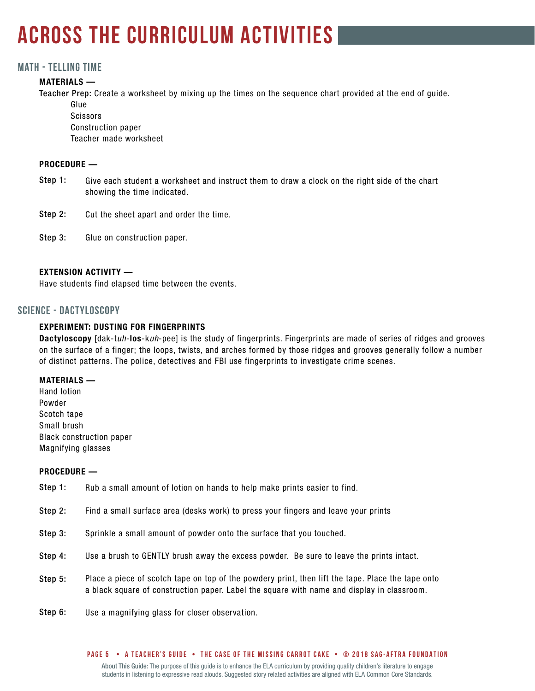### **across the curriculum activities**

#### **Math - telling time**

#### MATERIALS —

Teacher Prep: Create a worksheet by mixing up the times on the sequence chart provided at the end of guide.

Glue **Scissors** Construction paper Teacher made worksheet

#### PROCEDURE —

- Give each student a worksheet and instruct them to draw a clock on the right side of the chart showing the time indicated. Step 1:
- Cut the sheet apart and order the time. Step 2:
- Glue on construction paper. Step 3:

#### EXTENSION ACTIVITY —

Have students find elapsed time between the events.

#### **SCIENCE - DACTYLOSCOPY**

#### EXPERIMENT: DUSTING FOR FINGERPRINTS

Dactyloscopy [dak-t*uh*-los-k*uh*-pee] is the study of fingerprints. Fingerprints are made of series of ridges and grooves on the surface of a finger; the loops, twists, and arches formed by those ridges and grooves generally follow a number of distinct patterns. The police, detectives and FBI use fingerprints to investigate crime scenes.

#### MATERIALS —

Hand lotion Powder Scotch tape Small brush Black construction paper Magnifying glasses

#### PROCEDURE —

- Rub a small amount of lotion on hands to help make prints easier to find. Step 1:
- Find a small surface area (desks work) to press your fingers and leave your prints Step 2:
- Sprinkle a small amount of powder onto the surface that you touched. Step 3:
- Use a brush to GENTLY brush away the excess powder. Be sure to leave the prints intact. Step 4:
- Place a piece of scotch tape on top of the powdery print, then lift the tape. Place the tape onto a black square of construction paper. Label the square with name and display in classroom. Step 5:
- Use a magnifying glass for closer observation. Step 6: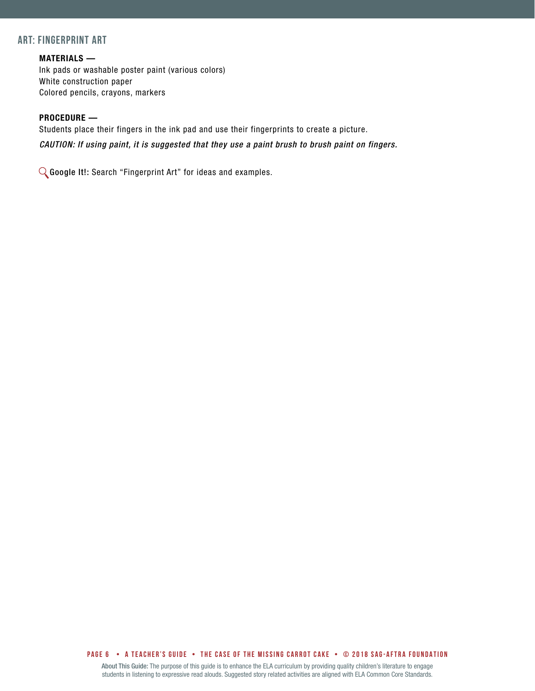#### **ART: FINGERPRINT ART**

#### MATERIALS —

Ink pads or washable poster paint (various colors) White construction paper Colored pencils, crayons, markers

#### PROCEDURE —

Students place their fingers in the ink pad and use their fingerprints to create a picture. *CAUTION: If using paint, it is suggested that they use a paint brush to brush paint on fingers.*

Google It!: Search "Fingerprint Art" for ideas and examples.

**PAGE 6 • A teacher's GUIDE • The case of the missing carrot cake • © 2018 SAG-AFTRA FOUNDATION**

About This Guide: The purpose of this guide is to enhance the ELA curriculum by providing quality children's literature to engage students in listening to expressive read alouds. Suggested story related activities are aligned with ELA Common Core Standards.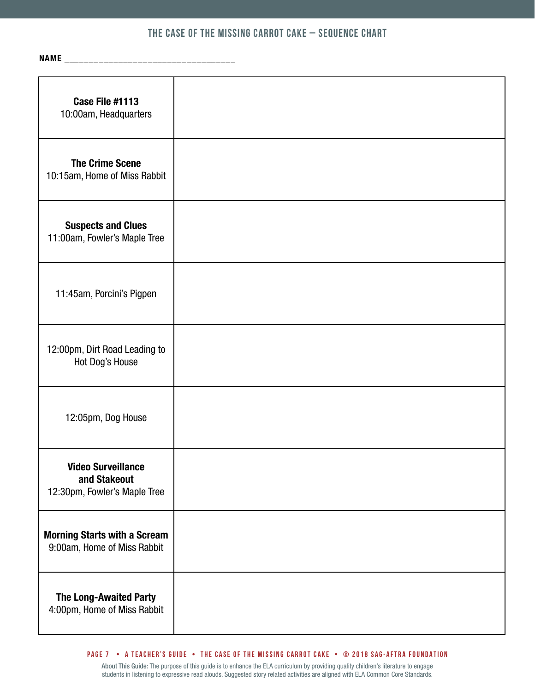#### **The Case of the Missing Carrot Cake – Sequence Chart**

NAME \_\_\_\_\_\_\_\_\_\_\_\_\_\_\_\_\_\_\_\_\_\_\_\_\_\_\_\_\_\_\_\_\_\_\_

| Case File #1113<br>10:00am, Headquarters                                  |  |
|---------------------------------------------------------------------------|--|
| <b>The Crime Scene</b><br>10:15am, Home of Miss Rabbit                    |  |
| <b>Suspects and Clues</b><br>11:00am, Fowler's Maple Tree                 |  |
| 11:45am, Porcini's Pigpen                                                 |  |
| 12:00pm, Dirt Road Leading to<br>Hot Dog's House                          |  |
| 12:05pm, Dog House                                                        |  |
| <b>Video Surveillance</b><br>and Stakeout<br>12:30pm, Fowler's Maple Tree |  |
| <b>Morning Starts with a Scream</b><br>9:00am, Home of Miss Rabbit        |  |
| <b>The Long-Awaited Party</b><br>4:00pm, Home of Miss Rabbit              |  |

#### **PAGE 7 • A teacher's GUIDE • The case of the missing carrot cake • © 2018 SAG-AFTRA FOUNDATION**

About This Guide: The purpose of this guide is to enhance the ELA curriculum by providing quality children's literature to engage students in listening to expressive read alouds. Suggested story related activities are aligned with ELA Common Core Standards.